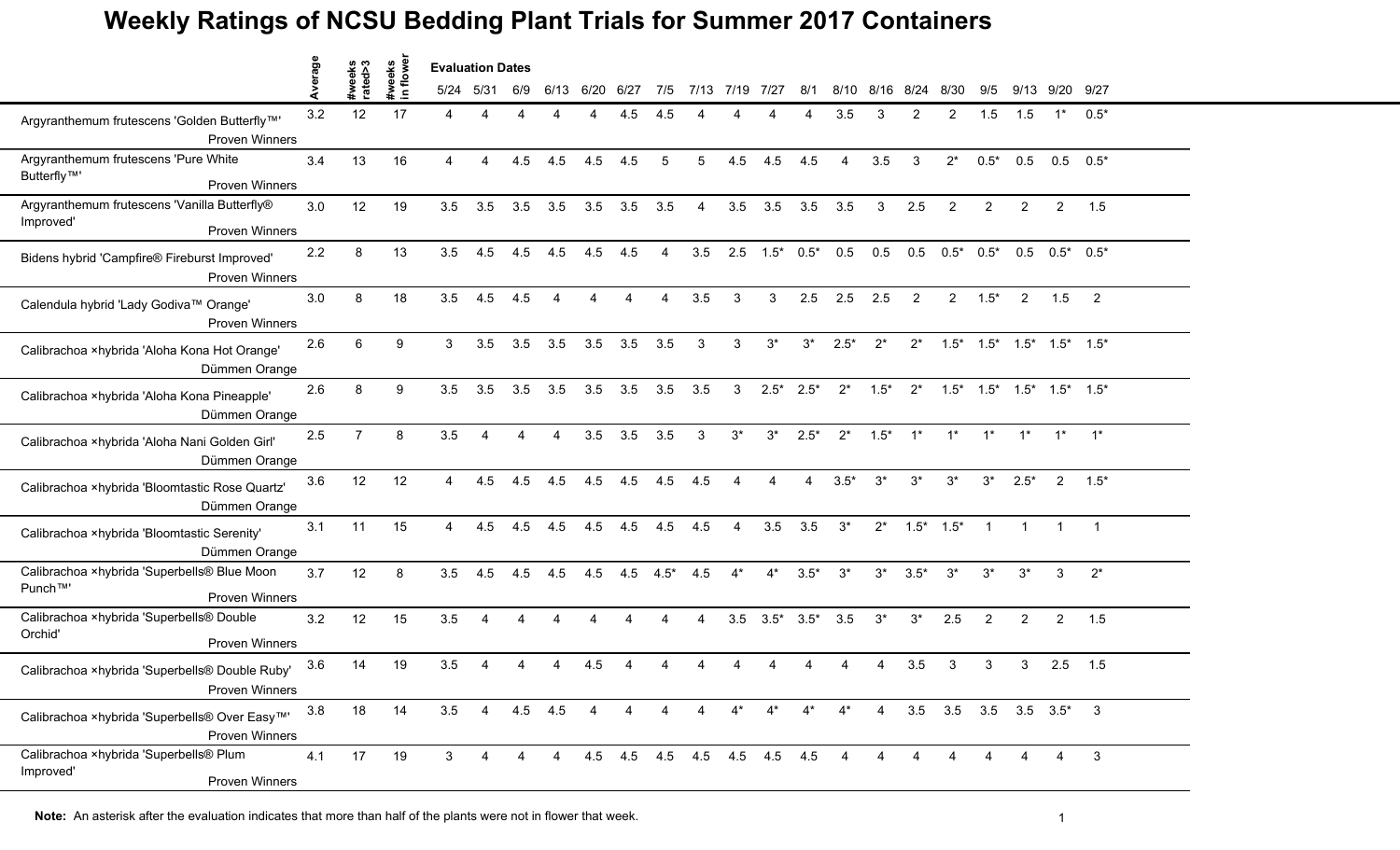|                                                                                         |         |                   | awe<br>syes  | <b>Evaluation Dates</b> |           |     |             |      |      |        |                |                             |                       |        |        |                |                 |                                         |                |                                                 |                       |                |  |
|-----------------------------------------------------------------------------------------|---------|-------------------|--------------|-------------------------|-----------|-----|-------------|------|------|--------|----------------|-----------------------------|-----------------------|--------|--------|----------------|-----------------|-----------------------------------------|----------------|-------------------------------------------------|-----------------------|----------------|--|
|                                                                                         | Average | #weeks<br>rated>3 | #we<br>$\Xi$ |                         | 5/24 5/31 | 6/9 | 6/13        | 6/20 | 6/27 | 7/5    |                | 7/13 7/19                   | 7/27                  | 8/1    |        | 8/10 8/16      | 8/24            | 8/30                                    | 9/5            |                                                 | 9/13 9/20 9/27        |                |  |
| Argyranthemum frutescens 'Golden Butterfly™'<br><b>Proven Winners</b>                   | 3.2     | 12                | 17           |                         | Δ         | Δ   |             |      | 4.5  | 4.5    |                |                             |                       |        | 3.5    | 3              | 2               | 2                                       | 1.5            | 1.5                                             | $1^*$                 | $0.5*$         |  |
| Argyranthemum frutescens 'Pure White<br>Butterfly <sup>™</sup><br><b>Proven Winners</b> | 3.4     | 13                | 16           | 4                       |           | 4.5 | 4.5         | 4.5  | 4.5  | 5      | 5              | 4.5                         | 4.5                   | 4.5    | 4      | 3.5            | 3               | $2^*$                                   | $0.5*$         | 0.5                                             | 0.5                   | $0.5*$         |  |
| Argyranthemum frutescens 'Vanilla Butterfly®<br>Improved'<br>Proven Winners             | 3.0     | 12                | 19           | 3.5                     | 3.5       | 3.5 | 3.5         | 3.5  | 3.5  | 3.5    | $\overline{4}$ | 3.5                         | 3.5                   | 3.5    | 3.5    | 3              | 2.5             | $\overline{2}$                          | 2              | $\overline{2}$                                  | $\overline{2}$        | 1.5            |  |
| Bidens hybrid 'Campfire® Fireburst Improved'<br><b>Proven Winners</b>                   | 2.2     | 8                 | 13           | 3.5                     | 4.5       | 4.5 | 4.5         | 4.5  | 4.5  | 4      | 3.5            |                             | $2.5$ $1.5^*$ $0.5^*$ |        | 0.5    | 0.5            | 0.5             | $0.5^*$ 0.5*                            |                |                                                 | $0.5$ $0.5^*$ $0.5^*$ |                |  |
| Calendula hybrid 'Lady Godiva™ Orange'<br><b>Proven Winners</b>                         | 3.0     | 8                 | 18           | 3.5                     | 4.5       | 4.5 |             |      |      |        | 3.5            | 3                           | 3                     | 2.5    | 2.5    | 2.5            | 2               | $\mathbf{2}^{\circ}$                    | $1.5*$         | $\overline{2}$                                  | 1.5                   | $\overline{2}$ |  |
| Calibrachoa ×hybrida 'Aloha Kona Hot Orange'<br>Dümmen Orange                           | 2.6     | 6                 | 9            | 3                       | 3.5       | 3.5 | 3.5         | 3.5  | 3.5  | 3.5    | 3              | 3                           | $3^*$                 | $3^*$  | $2.5*$ | $2^*$          | $2^*$           | $1.5*$                                  |                | $1.5^*$ $1.5^*$ $1.5^*$ $1.5^*$                 |                       |                |  |
| Calibrachoa ×hybrida 'Aloha Kona Pineapple'<br>Dümmen Orange                            | 2.6     | 8                 | 9            | 3.5                     | 3.5       | 3.5 | 3.5         | 3.5  | 3.5  | 3.5    | 3.5            | 3                           | $2.5*$                | $2.5*$ | $2^*$  | $1.5*$         | $2^*$           |                                         |                | $1.5^*$ $1.5^*$ $1.5^*$ $1.5^*$ $1.5^*$ $1.5^*$ |                       |                |  |
| Calibrachoa ×hybrida 'Aloha Nani Golden Girl'<br>Dümmen Orange                          | 2.5     | $\overline{7}$    | 8            | 3.5                     |           | Δ   | 4           | 3.5  | 3.5  | 3.5    | 3              | $3^*$                       | $3^*$                 | $2.5*$ | $2^*$  | $1.5*$         | $1^*$           | $1^*$                                   | $1^*$          | $1^*$                                           |                       | $1^*$ $1^*$    |  |
| Calibrachoa ×hybrida 'Bloomtastic Rose Quartz'<br>Dümmen Orange                         | 3.6     | 12                | 12           | 4                       | 4.5       | 4.5 | 4.5         | 4.5  | 4.5  | 4.5    | 4.5            |                             |                       |        | $3.5*$ | $3^*$          | $3^*$           | $3^*$                                   | $3^*$          | $2.5*$                                          | 2                     | $1.5*$         |  |
| Calibrachoa ×hybrida 'Bloomtastic Serenity'<br>Dümmen Orange                            | 3.1     | 11                | 15           | 4                       | 4.5       | 4.5 | 4.5         | 4.5  | 4.5  | 4.5    | 4.5            | $\boldsymbol{\Lambda}$      | 3.5                   | 3.5    | $3^*$  | $2^*$          | $1.5^*$ $1.5^*$ |                                         | $\overline{1}$ | $\mathbf{1}$                                    | $\mathbf{1}$          | $\overline{1}$ |  |
| Calibrachoa ×hybrida 'Superbells® Blue Moon<br>Punch™'<br><b>Proven Winners</b>         | 3.7     | 12                | 8            | 3.5                     | 4.5       | 4.5 | 4.5         | 4.5  | 4.5  | $4.5*$ | 4.5            | $4^*$                       | $4^*$                 | $3.5*$ | $3^*$  | $3^*$          | $3.5*$          | $3^*$                                   | $3^*$          | $3^*$                                           | 3                     | $2^*$          |  |
| Calibrachoa ×hybrida 'Superbells® Double<br>Orchid'<br><b>Proven Winners</b>            | 3.2     | 12                | 15           | 3.5                     |           |     |             |      |      |        | Δ              | 3.5                         | $3.5*$                | $3.5*$ | 3.5    | $3^*$          | $3^*$           | 2.5                                     | $\overline{2}$ | $\overline{2}$                                  | $\overline{2}$        | 1.5            |  |
| Calibrachoa ×hybrida 'Superbells® Double Ruby'<br><b>Proven Winners</b>                 | 3.6     | 14                | 19           | 3.5                     |           |     |             | 4.5  |      |        |                |                             |                       |        |        |                | 3.5             |                                         | 3              | 3                                               | 2.5                   | 1.5            |  |
| Calibrachoa ×hybrida 'Superbells® Over Easy™'<br>Proven Winners                         | 3.8     | 18                | 14           | 3.5                     | 4         |     | $4.5$ $4.5$ | 4    |      |        |                | 4*                          | $4^*$                 | $4^*$  | $4^*$  | $\overline{4}$ |                 | $3.5$ $3.5$ $3.5$ $3.5$ $3.5$ $3.5$ $3$ |                |                                                 |                       |                |  |
| Calibrachoa ×hybrida 'Superbells® Plum<br>Improved'<br>Proven Winners                   | 4.1     | 17                | 19           | 3                       |           | 4   |             |      |      |        |                | 4.5 4.5 4.5 4.5 4.5 4.5 4.5 |                       |        |        |                |                 |                                         |                |                                                 | $\overline{4}$        | $\mathbf{3}$   |  |

**Note:** An asterisk after the evaluation indicates that more than half of the plants were not in flower that week.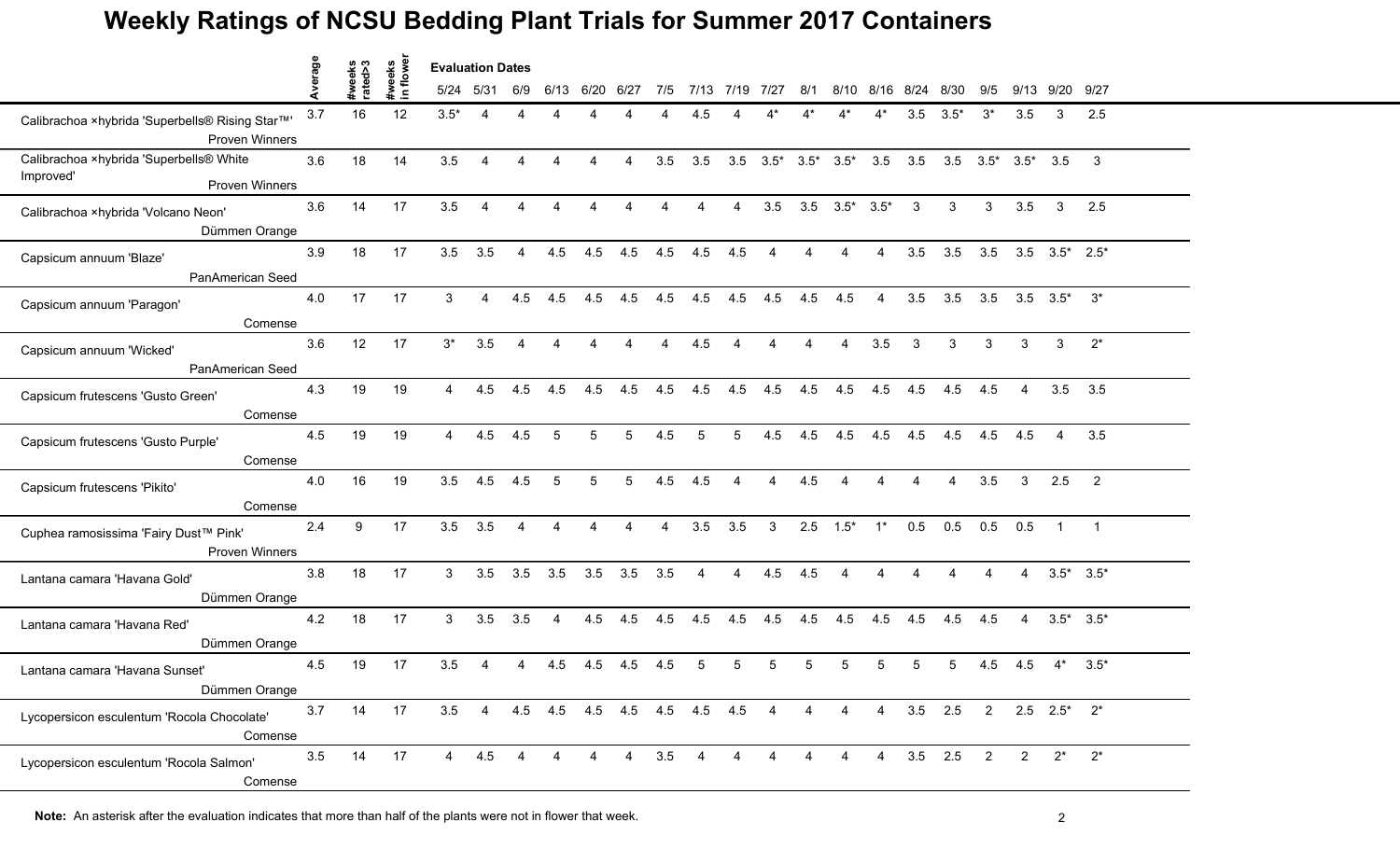|                                                                          | Average |                   | weeks        | lowe<br><b>Evaluation Dates</b> |                        |                        |                             |                        |                        |     |                |                |                |                         |                 |                |                |                |                |                       |                       |                 |
|--------------------------------------------------------------------------|---------|-------------------|--------------|---------------------------------|------------------------|------------------------|-----------------------------|------------------------|------------------------|-----|----------------|----------------|----------------|-------------------------|-----------------|----------------|----------------|----------------|----------------|-----------------------|-----------------------|-----------------|
|                                                                          |         | #weeks<br>rated>3 | $\mathbf{a}$ |                                 | 5/24 5/31              | 6/9                    | 6/13                        | 6/20                   | 6/27                   | 7/5 |                | 7/13 7/19      | 7/27           | 8/1                     | 8/10            |                | 8/16 8/24      | 8/30           | 9/5            |                       | 9/13 9/20             | 9/27            |
| Calibrachoa ×hybrida 'Superbells® Rising Star™'<br><b>Proven Winners</b> | 3.7     | 16                | 12           | $3.5*$                          | $\boldsymbol{\Lambda}$ |                        |                             |                        |                        |     | 4.5            |                |                |                         |                 |                | 3.5            | $3.5*$         | $3^*$          | 3.5                   | 3                     | 2.5             |
| Calibrachoa ×hybrida 'Superbells® White                                  | 3.6     | 18                | 14           | 3.5                             | $\boldsymbol{\Lambda}$ | Δ                      | Δ                           | Δ                      | $\boldsymbol{\Lambda}$ | 3.5 | 3.5            | 3.5            |                | $3.5^*$ $3.5^*$ $3.5^*$ |                 | 3.5            | 3.5            | 3.5            |                | $3.5^*$ $3.5^*$ $3.5$ |                       | $\mathbf{3}$    |
| Improved'<br><b>Proven Winners</b>                                       |         |                   |              |                                 |                        |                        |                             |                        |                        |     |                |                |                |                         |                 |                |                |                |                |                       |                       |                 |
| Calibrachoa ×hybrida 'Volcano Neon'<br>Dümmen Orange                     | 3.6     | 14                | 17           | 3.5                             | 4                      | $\overline{4}$         | $\overline{4}$              | $\overline{4}$         | $\overline{4}$         | 4   | 4              | $\overline{4}$ | 3.5            | 3.5                     | $3.5^*$ $3.5^*$ |                | 3              | 3 <sup>1</sup> | 3              | 3.5                   | $\mathbf{3}$          | 2.5             |
| Capsicum annuum 'Blaze'<br>PanAmerican Seed                              | 3.9     | 18                | 17           | 3.5                             | 3.5                    | $\overline{4}$         | 4.5                         | 4.5                    | 4.5                    | 4.5 | 4.5            | 4.5            | 4              | 4                       | $\overline{A}$  | 4              | 3.5            | 3.5            | 3.5            |                       | $3.5$ $3.5^*$ $2.5^*$ |                 |
| Capsicum annuum 'Paragon'<br>Comense                                     | 4.0     | 17                | 17           | 3                               | Δ                      | 4.5                    | 4.5                         | 4.5                    | 4.5                    | 4.5 | 4.5            | 4.5            | 4.5            | 4.5                     | 4.5             | 4              | 3.5            | 3.5            | 3.5            |                       | $3.5\quad 3.5^*$      | $3^*$           |
| Capsicum annuum 'Wicked'<br>PanAmerican Seed                             | 3.6     | 12                | 17           | $3^*$                           | 3.5                    | $\overline{4}$         | $\overline{4}$              | $\boldsymbol{\Lambda}$ | $\overline{4}$         | 4   | 4.5            | 4              | 4              | 4                       | $\overline{4}$  | 3.5            | 3              | 3              | 3              | 3                     | 3                     | $2^*$           |
| Capsicum frutescens 'Gusto Green'<br>Comense                             | 4.3     | 19                | 19           | $\overline{4}$                  | 4.5                    | 4.5                    | 4.5                         | 4.5                    | 4.5                    | 4.5 | 4.5            | 4.5            | 4.5            | 4.5                     | 4.5             | 4.5            | 4.5            | 4.5            | 4.5            | $\overline{4}$        |                       | $3.5$ $3.5$     |
| Capsicum frutescens 'Gusto Purple'<br>Comense                            | 4.5     | 19                | 19           | $\overline{4}$                  | 4.5                    | 4.5                    | 5                           | 5                      | 5                      | 4.5 | 5              | 5              | 4.5            | 4.5                     | 4.5             | 4.5            | 4.5            | 4.5            | 4.5            | 4.5                   | $\overline{4}$        | 3.5             |
| Capsicum frutescens 'Pikito'<br>Comense                                  | 4.0     | 16                | 19           | 3.5                             | 4.5                    | 4.5                    | 5                           | 5                      | 5                      | 4.5 | 4.5            |                | Δ              | 4.5                     |                 |                |                |                | 3.5            | 3                     | 2.5                   | 2               |
| Cuphea ramosissima 'Fairy Dust™ Pink'<br>Proven Winners                  | 2.4     | 9                 | 17           | 3.5                             | 3.5                    | $\overline{4}$         | $\overline{4}$              | $\overline{A}$         | $\overline{4}$         | 4   | 3.5            | 3.5            | 3              | 2.5                     | $1.5*$          | $1^*$          | 0.5            | 0.5            | 0.5            | 0.5                   | $\overline{1}$        | $\overline{1}$  |
| Lantana camara 'Havana Gold'<br>Dümmen Orange                            | 3.8     | 18                | 17           | 3                               | 3.5                    | 3.5                    | 3.5                         | 3.5                    | 3.5                    | 3.5 | $\overline{4}$ | $\overline{4}$ | 4.5            | 4.5                     | $\overline{4}$  | $\overline{4}$ | $\overline{4}$ | $\overline{4}$ | $\overline{4}$ | $\overline{4}$        |                       | $3.5^*$ $3.5^*$ |
| Lantana camara 'Havana Red'<br>Dümmen Orange                             | 4.2     | 18                | 17           | 3                               | 3.5                    | 3.5                    | $\overline{4}$              | 4.5                    | 4.5                    | 4.5 | 4.5            | 4.5            | 4.5            | 4.5                     | 4.5             | 4.5            | 4.5            | 4.5            | 4.5            | 4                     |                       | $3.5^*$ $3.5^*$ |
| Lantana camara 'Havana Sunset'<br>Dümmen Orange                          | 4.5     | 19                | 17           | 3.5                             |                        |                        | 4.5                         | 4.5                    | 4.5                    | 4.5 | 5              | 5              | 5              |                         | 5               |                |                | 5              | 4.5            | 4.5                   | $4^*$                 | $3.5*$          |
| Lycopersicon esculentum 'Rocola Chocolate'<br>Comense                    | 3.7     | 14                | 17           | 3.5                             | $\overline{4}$         |                        | 4.5 4.5 4.5 4.5 4.5 4.5 4.5 |                        |                        |     |                |                | 4              | 4                       | 4               | $\overline{4}$ | $3.5$ 2.5      |                | $\overline{2}$ |                       | $2.5$ $2.5^*$ $2^*$   |                 |
| Lycopersicon esculentum 'Rocola Salmon'<br>Comense                       | 3.5     | 14                | 17           | $\overline{4}$                  | 4.5                    | $\boldsymbol{\Lambda}$ |                             | $\overline{A}$         | $\overline{4}$         | 3.5 | $\overline{4}$ | $\overline{4}$ | $\overline{4}$ | $\overline{A}$          | $\overline{4}$  |                | 4 3.5 2.5      |                | 2              | $\overline{2}$        | $2^*$                 | $2^*$           |

**Note:** An asterisk after the evaluation indicates that more than half of the plants were not in flower that week.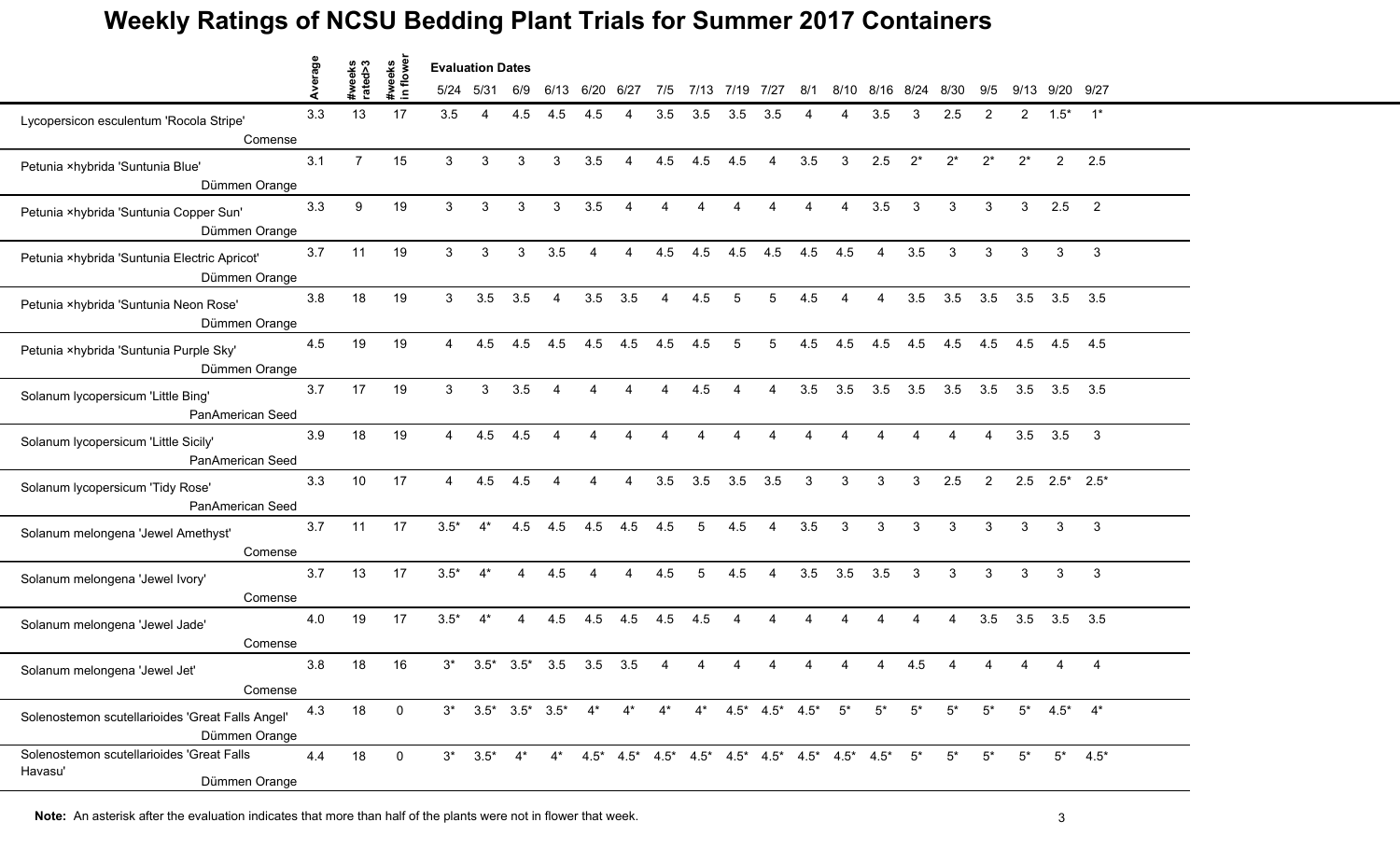|                                                                       |         |                   | lowe                     | <b>Evaluation Dates</b> |              |                 |                          |                          |                |                        |                                                                                     |          |                |                        |                                                                         |       |       |                |                |              |                       |                         |  |  |
|-----------------------------------------------------------------------|---------|-------------------|--------------------------|-------------------------|--------------|-----------------|--------------------------|--------------------------|----------------|------------------------|-------------------------------------------------------------------------------------|----------|----------------|------------------------|-------------------------------------------------------------------------|-------|-------|----------------|----------------|--------------|-----------------------|-------------------------|--|--|
|                                                                       | Average | #weeks<br>rated>3 | #weeks<br>$\blacksquare$ | 5/24 5/31               |              | 6/9             | 6/13                     | 6/20                     | 6/27           | 7/5                    | 7/13                                                                                | 7/19     | 7/27           | 8/1                    | 8/10                                                                    | 8/16  | 8/24  | 8/30           | 9/5            | 9/13         | 9/20 9/27             |                         |  |  |
| Lycopersicon esculentum 'Rocola Stripe'<br>Comense                    | 3.3     | 13                | 17                       | 3.5                     | 4            | 4.5             | 4.5                      | 4.5                      |                | 3.5                    | 3.5                                                                                 | 3.5      | 3.5            |                        |                                                                         | 3.5   | 3     | 2.5            | $\mathcal{P}$  | $\mathbf{2}$ | $1.5*$                | $1^*$                   |  |  |
| Petunia ×hybrida 'Suntunia Blue'<br>Dümmen Orange                     | 3.1     | $\overline{7}$    | 15                       | 3                       | 3            | 3               | 3                        | 3.5                      | 4              | 4.5                    | 4.5                                                                                 | 4.5      | $\overline{A}$ | 3.5                    | 3                                                                       | 2.5   | $2^*$ | $2^*$          | $2^*$          | $2^*$        | $\overline{2}$        | 2.5                     |  |  |
| Petunia ×hybrida 'Suntunia Copper Sun'<br>Dümmen Orange               | 3.3     | 9                 | 19                       | 3                       | 3            | 3               | 3                        | 3.5                      | 4              | $\boldsymbol{\Lambda}$ | $\boldsymbol{\Lambda}$                                                              | 4        | $\Delta$       | $\boldsymbol{\Lambda}$ | $\overline{4}$                                                          | 3.5   | 3     | $\mathbf{3}$   | 3              | 3            | 2.5                   | $\overline{2}$          |  |  |
| Petunia ×hybrida 'Suntunia Electric Apricot'<br>Dümmen Orange         | 3.7     | 11                | 19                       | 3                       | 3            | 3               | 3.5                      | $\overline{4}$           | $\overline{4}$ | 4.5                    | 4.5                                                                                 | 4.5      | 4.5            | 4.5                    | 4.5                                                                     | 4     | 3.5   | 3              | 3              | 3            | 3                     | 3                       |  |  |
| Petunia ×hybrida 'Suntunia Neon Rose'<br>Dümmen Orange                | 3.8     | 18                | 19                       | 3                       | 3.5          | 3.5             | 4                        | 3.5                      | 3.5            | Δ                      | 4.5                                                                                 | 5        | 5              | 4.5                    |                                                                         |       | 3.5   | 3.5            | 3.5            | 3.5          | 3.5                   | 3.5                     |  |  |
| Petunia ×hybrida 'Suntunia Purple Sky'<br>Dümmen Orange               | 4.5     | 19                | 19                       | $\overline{4}$          | 4.5          | 4.5             | 4.5                      | 4.5                      | 4.5            | 4.5                    | 4.5                                                                                 | 5        | 5              | 4.5                    | 4.5                                                                     | 4.5   | 4.5   | 4.5            | 4.5            | 4.5          | 4.5                   | 4.5                     |  |  |
| Solanum lycopersicum 'Little Bing'<br>PanAmerican Seed                | 3.7     | 17                | 19                       | 3                       | $\mathbf{3}$ | 3.5             | $\boldsymbol{\Lambda}$   | $\boldsymbol{\varDelta}$ | $\overline{4}$ | $\boldsymbol{\Lambda}$ | 4.5                                                                                 | $\Delta$ | $\overline{4}$ | 3.5                    | 3.5                                                                     | 3.5   | 3.5   | 3.5            | 3.5            |              | $3.5$ $3.5$ $3.5$     |                         |  |  |
| Solanum lycopersicum 'Little Sicily'<br>PanAmerican Seed              | 3.9     | 18                | 19                       | $\overline{4}$          | 4.5          | 4.5             | $\boldsymbol{\varDelta}$ | Δ                        |                |                        |                                                                                     |          |                |                        |                                                                         |       |       |                | 4              | 3.5          | 3.5                   | $\overline{\mathbf{3}}$ |  |  |
| Solanum lycopersicum 'Tidy Rose'<br>PanAmerican Seed                  | 3.3     | 10                | 17                       | $\overline{4}$          | 4.5          | 4.5             |                          |                          |                | 3.5                    | 3.5                                                                                 | 3.5      | 3.5            | 3                      | 3                                                                       | 3     | 3     | 2.5            | $\overline{2}$ |              | $2.5$ $2.5^*$ $2.5^*$ |                         |  |  |
| Solanum melongena 'Jewel Amethyst'<br>Comense                         | 3.7     | 11                | 17                       | $3.5*$                  | $4^*$        | 4.5             | 4.5                      | 4.5                      | 4.5            | 4.5                    | 5                                                                                   | 4.5      | $\overline{4}$ | 3.5                    | 3                                                                       | 3     | 3     | $\mathbf{3}$   | 3              | 3            | 3                     | $\mathbf{3}$            |  |  |
| Solanum melongena 'Jewel Ivory'<br>Comense                            | 3.7     | 13                | 17                       | $3.5*$                  | $4^*$        | $\overline{4}$  | 4.5                      | $\boldsymbol{\Lambda}$   | $\overline{4}$ | 4.5                    | 5                                                                                   | 4.5      | $\overline{A}$ | 3.5                    | 3.5                                                                     | 3.5   | 3     | $\mathcal{S}$  | 3              | 3            | 3                     | $\mathbf{3}$            |  |  |
| Solanum melongena 'Jewel Jade'<br>Comense                             | 4.0     | 19                | 17                       | $3.5*$                  | $4^*$        | 4               | 4.5                      | 4.5                      | 4.5            | 4.5                    | 4.5                                                                                 | Δ        | Δ              | $\boldsymbol{\Lambda}$ | 4                                                                       | 4     | 4     | $\overline{4}$ | 3.5            | 3.5          | 3.5                   | 3.5                     |  |  |
| Solanum melongena 'Jewel Jet'<br>Comense                              | 3.8     | 18                | 16                       | $3^*$                   |              | $3.5^*$ $3.5^*$ | 3.5                      | 3.5                      | 3.5            |                        |                                                                                     |          |                |                        |                                                                         |       | 4.5   |                |                |              |                       | 4                       |  |  |
| Solenostemon scutellarioides 'Great Falls Angel'<br>Dümmen Orange     | 4.3     | 18                | 0                        |                         |              |                 |                          |                          |                |                        | $3^*$ $3.5^*$ $3.5^*$ $3.5^*$ $4^*$ $4^*$ $4^*$ $4^*$ $4.5^*$ $4.5^*$ $4.5^*$ $5^*$ |          |                |                        |                                                                         | $5^*$ | $5^*$ | $5^*$          | $5^*$          |              | $5^*$ 4.5* $4^*$      |                         |  |  |
| Solenostemon scutellarioides 'Great Falls<br>Havasu'<br>Dümmen Orange | 4.4     | 18                | $\mathbf{0}$             |                         | $3^*$ 3.5*   | $4^*$           | $4^*$                    |                          |                |                        |                                                                                     |          |                |                        | $4.5^*$ $4.5^*$ $4.5^*$ $4.5^*$ $4.5^*$ $4.5^*$ $4.5^*$ $4.5^*$ $4.5^*$ |       | $5^*$ | $5^*$          | $5^*$          | $5^*$        | $5^*$                 | $4.5*$                  |  |  |

**Note:** An asterisk after the evaluation indicates that more than half of the plants were not in flower that week.